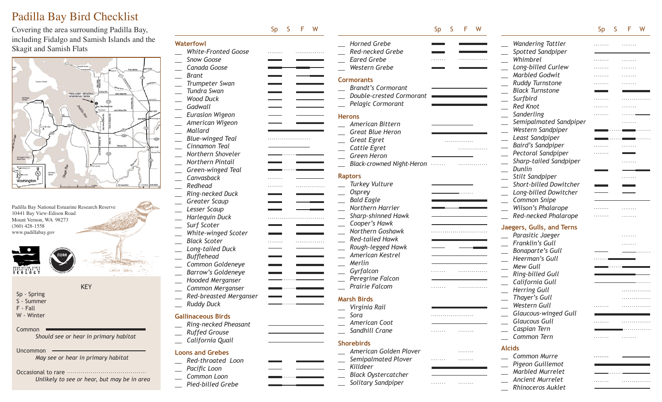# Padilla Bay Bird Checklist

Covering the area surrounding Padilla B including Fidalgo and Samish Islands an Skagit and Samish Flats



Padilla Bay National Estuarine Research Reserve 10441 Bay View-Edison Road Mount Vernon, WA 98273 (360) 428-1558 www.padillabay.gov



- 
- Sp Spring S - Summer
- F Fall
- 
- W Winter

#### Common

*Should see or hear in primary habitat*

KEY

 $\frac{1}{2}$ 

Uncommon

*May see or hear in primary habitat*

#### Occasional to rare *Unlik*

|  |  |  |  |  | ely to see or hear, but may be in area: |  |  |  |  |  |  |
|--|--|--|--|--|-----------------------------------------|--|--|--|--|--|--|
|--|--|--|--|--|-----------------------------------------|--|--|--|--|--|--|

|                            | W<br>Sp<br>F<br><sub>S</sub> |                                  | W<br>Sp<br>F<br>S |                             | Sp<br><sub>S</sub> | F<br>W     |
|----------------------------|------------------------------|----------------------------------|-------------------|-----------------------------|--------------------|------------|
| <b>Waterfowl</b>           |                              | <b>Horned Grebe</b>              |                   | <b>Wandering Tattler</b>    |                    |            |
| <b>White-Fronted Goose</b> | .                            | Red-necked Grebe                 |                   | Spotted Sandpiper           |                    |            |
| Snow Goose                 |                              | <b>Eared Grebe</b>               | .                 | Whimbrel                    | .                  | .          |
| Canada Goose               |                              | Western Grebe                    |                   | Long-billed Curlew          | .                  | .          |
| <b>Brant</b>               |                              |                                  |                   | <b>Marbled Godwit</b>       |                    | .          |
| Trumpeter Swan             |                              | <b>Cormorants</b>                |                   | <b>Ruddy Turnstone</b>      | .                  | .          |
| Tundra Swan                |                              | <b>Brandt's Cormorant</b>        |                   | <b>Black Turnstone</b>      |                    |            |
| <b>Wood Duck</b>           |                              | Double-crested Cormorant         |                   | Surfbird                    | .                  |            |
| Gadwall                    |                              | Pelagic Cormorant                |                   | <b>Red Knot</b>             | .                  |            |
| <b>Eurasion Wigeon</b>     |                              | <b>Herons</b>                    |                   | Sanderling                  |                    |            |
| American Wigeon            |                              | American Bittern                 |                   | Semipalmated Sandpiper      |                    |            |
| Mallard                    |                              | <b>Great Blue Heron</b>          |                   | Western Sandpiper           |                    |            |
| <b>Blue-winged Teal</b>    |                              |                                  |                   | Least Sandpiper             |                    |            |
| Cinnamon Teal              |                              | <b>Great Egret</b>               | .                 | <b>Baird's Sandpiper</b>    |                    |            |
| Northern Shoveler          |                              | Cattle Egret                     | .                 | Pectoral Sandpiper          | .                  |            |
| <b>Northern Pintail</b>    |                              | Green Heron                      |                   | Sharp-tailed Sandpiper      |                    | . <b>.</b> |
|                            |                              | <b>Black-crowned Night-Heron</b> | 1.1.1.1.1.1       | Dunlin                      |                    |            |
| Green-winged Teal          |                              | <b>Raptors</b>                   |                   | Stilt Sandpiper             |                    |            |
| Canvasback                 |                              | <b>Turkey Vulture</b>            |                   | Short-billed Dowitcher      |                    | .          |
| Redhead                    |                              |                                  |                   |                             |                    |            |
| Ring-necked Duck           |                              | <b>Osprey</b>                    | .                 | Long-billed Dowitcher       |                    |            |
| <b>Greater Scaup</b>       |                              | <b>Bald Eagle</b>                |                   | Common Snipe                |                    |            |
| Lesser Scaup               |                              | Northern Harrier                 |                   | Wilson's Phalarope          |                    |            |
| <b>Harlequin Duck</b>      |                              | Sharp-shinned Hawk               |                   | Red-necked Phalarope        | .                  |            |
| Surf Scoter                |                              | Cooper's Hawk                    |                   | Jaegers, Gulls, and Terns   |                    |            |
| White-winged Scoter        |                              | Northern Goshawk                 |                   | Parasitic Jaeger            |                    | .          |
| <b>Black Scoter</b>        | .<br>.                       | <b>Red-tailed Hawk</b>           |                   | Franklin's Gull             |                    |            |
| Long-tailed Duck           |                              | Rough-legged Hawk                |                   | <b>Bonaparte's Gull</b>     |                    |            |
| <b>Bufflehead</b>          |                              | American Kestrel                 |                   | Heerman's Gull              |                    |            |
| Common Goldeneye           |                              | Merlin                           |                   | <b>Mew Gull</b>             |                    |            |
| <b>Barrow's Goldeneye</b>  |                              | Gyrfalcon                        | . <b>.</b>        | Ring-billed Gull            |                    |            |
| <b>Hooded Merganser</b>    |                              | Peregrine Falcon                 |                   |                             |                    |            |
| Common Merganser           |                              | Prairie Falcom                   | .                 | California Gull             |                    |            |
| Red-breasted Merganser     |                              |                                  |                   | <b>Herring Gull</b>         |                    |            |
| <b>Ruddy Duck</b>          |                              | <b>Marsh Birds</b>               |                   | Thayer's Gull               |                    | .          |
|                            |                              | Virginia Rail                    |                   | Western Gull                |                    | .          |
| <b>Gallinaceous Birds</b>  |                              | Sora                             |                   | <b>Glaucous-winged Gull</b> |                    |            |
| Ring-necked Pheasant       |                              | American Coot                    |                   | <b>Glaucous Gull</b>        |                    |            |
| <b>Ruffed Grouse</b>       |                              | Sandhill Crane                   | .<br>.            | Caspian Tern                |                    | .          |
| California Quail           |                              |                                  |                   | Common Tern                 | .                  | .          |
|                            |                              | <b>Shorebirds</b>                |                   | <b>Alcids</b>               |                    |            |
| <b>Loons and Grebes</b>    |                              | American Golden Plover           | .                 | Common Murre                |                    |            |
| Red-throated Loon          |                              | Semipalmated Plover              | .<br>.            |                             |                    |            |
| Pacific Loon               |                              | Killdeer                         |                   | Pigeon Guillemot            |                    |            |
| Common Loon                |                              | <b>Black Oystercatcher</b>       |                   | Marbled Murrelet            |                    |            |
| Pied-billed Grebe          |                              | Solitary Sandpiper               | .<br>.            | Ancient Murrelet            | .                  | .          |

*\_\_ Rhinoceros Auklet*

*\_\_ Pied-billed Grebe*